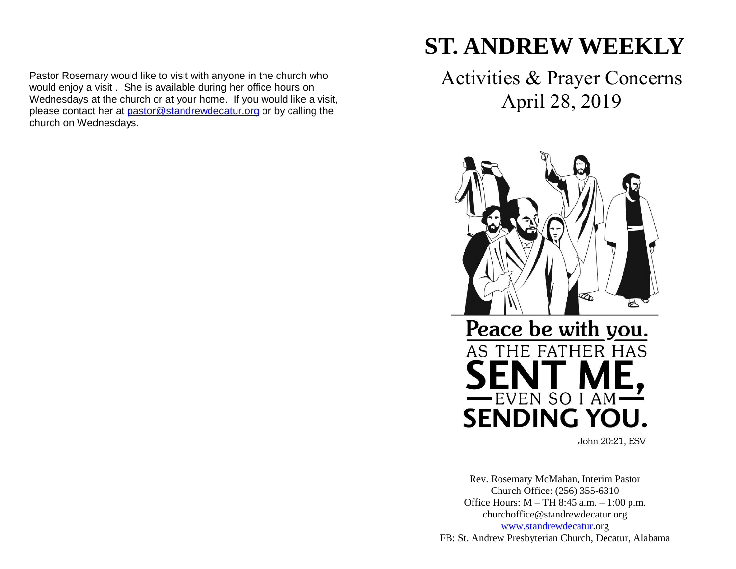Pastor Rosemary would like to visit with anyone in the church who would enjoy a visit . She is available during her office hours on Wednesdays at the church or at your home. If you would like a visit, please contact her at [pastor@standrewdecatur.org](mailto:pastor@standrewdecatur.org) or by calling the church on Wednesdays.

# **ST. ANDREW WEEKLY**

Activities & Prayer Concerns April 28, 2019



John 20:21, ESV

Rev. Rosemary McMahan, Interim Pastor Church Office: (256) 355-6310 Office Hours: M – TH 8:45 a.m. – 1:00 p.m. churchoffice@standrewdecatur.org [www.standrewdecatur.](http://www.standrewdecatur/)org FB: St. Andrew Presbyterian Church, Decatur, Alabama